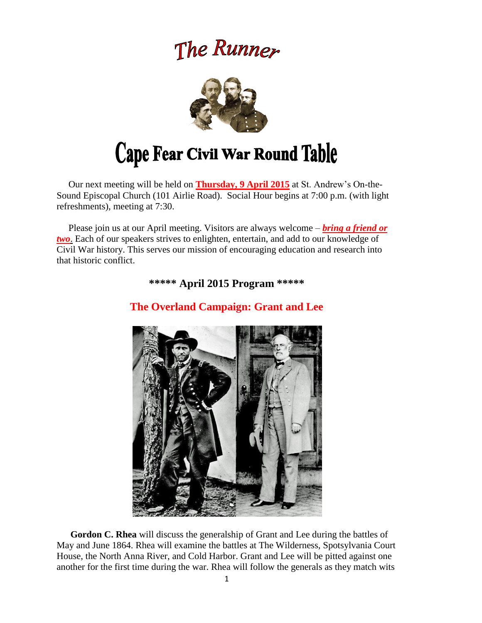# The Runner



 Our next meeting will be held on **Thursday, 9 April 2015** at St. Andrew's On-the-Sound Episcopal Church (101 Airlie Road). Social Hour begins at 7:00 p.m. (with light refreshments), meeting at 7:30.

 Please join us at our April meeting. Visitors are always welcome – *bring a friend or two*. Each of our speakers strives to enlighten, entertain, and add to our knowledge of Civil War history. This serves our mission of encouraging education and research into that historic conflict.

**\*\*\*\*\* April 2015 Program \*\*\*\*\***



# **The Overland Campaign: Grant and Lee**

**Gordon C. Rhea** will discuss the generalship of Grant and Lee during the battles of May and June 1864. Rhea will examine the battles at The Wilderness, Spotsylvania Court House, the North Anna River, and Cold Harbor. Grant and Lee will be pitted against one another for the first time during the war. Rhea will follow the generals as they match wits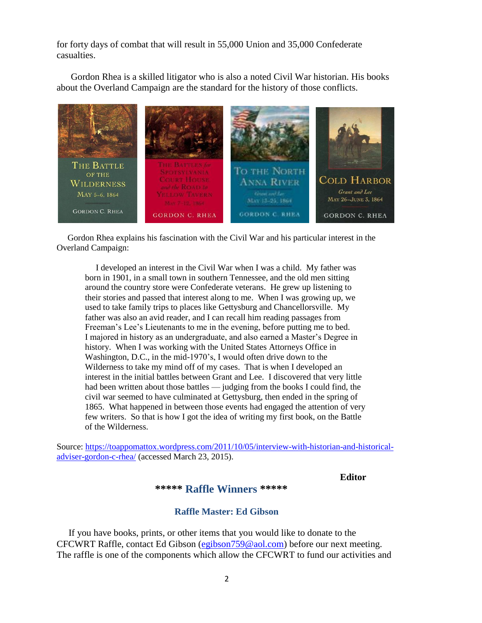for forty days of combat that will result in 55,000 Union and 35,000 Confederate casualties.

 Gordon Rhea is a skilled litigator who is also a noted Civil War historian. His books about the Overland Campaign are the standard for the history of those conflicts.



 Gordon Rhea explains his fascination with the Civil War and his particular interest in the Overland Campaign:

 I developed an interest in the Civil War when I was a child. My father was born in 1901, in a small town in southern Tennessee, and the old men sitting around the country store were Confederate veterans. He grew up listening to their stories and passed that interest along to me. When I was growing up, we used to take family trips to places like Gettysburg and Chancellorsville. My father was also an avid reader, and I can recall him reading passages from Freeman's Lee's Lieutenants to me in the evening, before putting me to bed. I majored in history as an undergraduate, and also earned a Master's Degree in history. When I was working with the United States Attorneys Office in Washington, D.C., in the mid-1970's, I would often drive down to the Wilderness to take my mind off of my cases. That is when I developed an interest in the initial battles between Grant and Lee. I discovered that very little had been written about those battles — judging from the books I could find, the civil war seemed to have culminated at Gettysburg, then ended in the spring of 1865. What happened in between those events had engaged the attention of very few writers. So that is how I got the idea of writing my first book, on the Battle of the Wilderness.

Source: [https://toappomattox.wordpress.com/2011/10/05/interview-with-historian-and-historical](https://toappomattox.wordpress.com/2011/10/05/interview-with-historian-and-historical-adviser-gordon-c-rhea/)[adviser-gordon-c-rhea/](https://toappomattox.wordpress.com/2011/10/05/interview-with-historian-and-historical-adviser-gordon-c-rhea/) (accessed March 23, 2015).

#### **Editor**

#### **\*\*\*\*\* Raffle Winners \*\*\*\*\***

#### **Raffle Master: Ed Gibson**

If you have books, prints, or other items that you would like to donate to the CFCWRT Raffle, contact Ed Gibson [\(egibson759@aol.com\)](mailto:egibson759@aol.com) before our next meeting. The raffle is one of the components which allow the CFCWRT to fund our activities and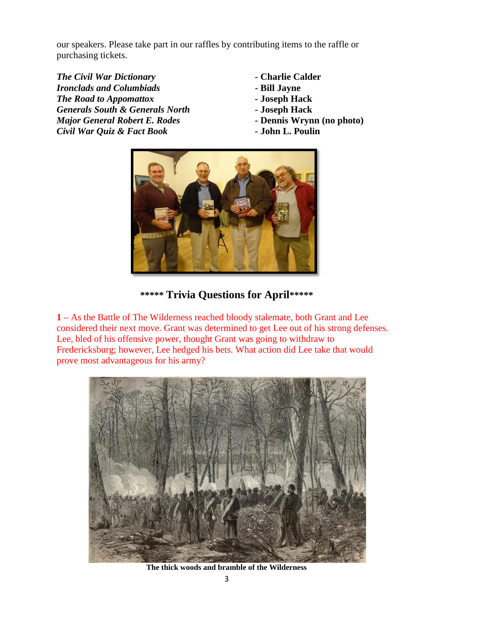our speakers. Please take part in our raffles by contributing items to the raffle or purchasing tickets.

*The Civil War Dictionary -* **Charlie Calder** *Ironclads and Columbiads* **- Bill Jayne** *The Road to Appomattox -* **Joseph Hack** *Generals South & Generals North -* **Joseph Hack** *Major General Robert E. Rodes -* **Dennis Wrynn (no photo)** *Civil War Quiz & Fact Book -* **John L. Poulin**

- 
- 
- 
- 
- 
- 



#### **\*\*\*\*\* Trivia Questions for April\*\*\*\*\***

**1 –** As the Battle of The Wilderness reached bloody stalemate, both Grant and Lee considered their next move. Grant was determined to get Lee out of his strong defenses. Lee, bled of his offensive power, thought Grant was going to withdraw to Fredericksburg; however, Lee hedged his bets. What action did Lee take that would prove most advantageous for his army?



**The thick woods and bramble of the Wilderness**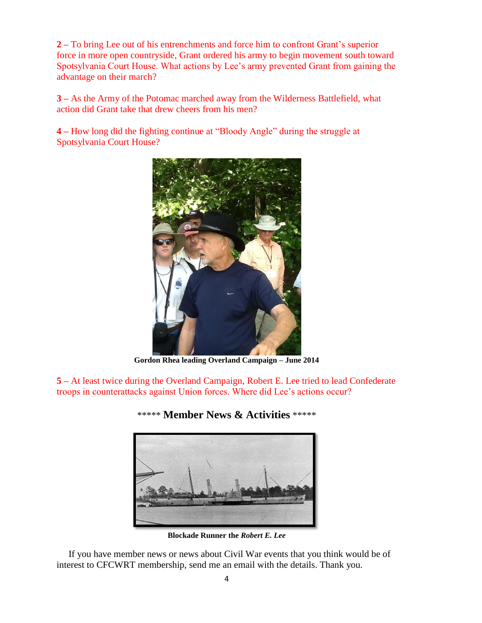**2 –** To bring Lee out of his entrenchments and force him to confront Grant's superior force in more open countryside, Grant ordered his army to begin movement south toward Spotsylvania Court House. What actions by Lee's army prevented Grant from gaining the advantage on their march?

**3 –** As the Army of the Potomac marched away from the Wilderness Battlefield, what action did Grant take that drew cheers from his men?

**4 –** How long did the fighting continue at "Bloody Angle" during the struggle at Spotsylvania Court House?



**Gordon Rhea leading Overland Campaign – June 2014**

**5 –** At least twice during the Overland Campaign, Robert E. Lee tried to lead Confederate troops in counterattacks against Union forces. Where did Lee's actions occur?



#### \*\*\*\*\* **Member News & Activities** \*\*\*\*\*

**Blockade Runner the** *Robert E. Lee*

 If you have member news or news about Civil War events that you think would be of interest to CFCWRT membership, send me an email with the details. Thank you.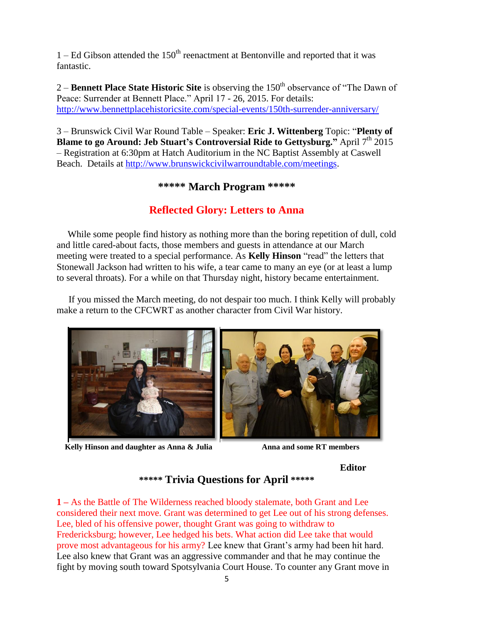$1 - Ed$  Gibson attended the  $150<sup>th</sup>$  reenactment at Bentonville and reported that it was fantastic.

2 – **Bennett Place State Historic Site** is observing the 150<sup>th</sup> observance of "The Dawn of Peace: Surrender at Bennett Place." April 17 - 26, 2015. For details: <http://www.bennettplacehistoricsite.com/special-events/150th-surrender-anniversary/>

3 – Brunswick Civil War Round Table – Speaker: **Eric J. Wittenberg** Topic: "**Plenty of Blame to go Around: Jeb Stuart's Controversial Ride to Gettysburg."** April 7 th 2015 – Registration at 6:30pm at Hatch Auditorium in the NC Baptist Assembly at Caswell Beach. Details at [http://www.brunswickcivilwarroundtable.com/meetings.](http://www.brunswickcivilwarroundtable.com/meetings)

## **\*\*\*\*\* March Program \*\*\*\*\***

## **Reflected Glory: Letters to Anna**

 While some people find history as nothing more than the boring repetition of dull, cold and little cared-about facts, those members and guests in attendance at our March meeting were treated to a special performance. As **Kelly Hinson** "read" the letters that Stonewall Jackson had written to his wife, a tear came to many an eye (or at least a lump to several throats). For a while on that Thursday night, history became entertainment.

 If you missed the March meeting, do not despair too much. I think Kelly will probably make a return to the CFCWRT as another character from Civil War history.



*Kelly Hinson and daughter as Anna & Julia* **<b>Anna and some RT members** 



#### **Editor**

#### **\*\*\*\*\* Trivia Questions for April \*\*\*\*\***

**1 –** As the Battle of The Wilderness reached bloody stalemate, both Grant and Lee considered their next move. Grant was determined to get Lee out of his strong defenses. Lee, bled of his offensive power, thought Grant was going to withdraw to Fredericksburg; however, Lee hedged his bets. What action did Lee take that would prove most advantageous for his army? Lee knew that Grant's army had been hit hard. Lee also knew that Grant was an aggressive commander and that he may continue the fight by moving south toward Spotsylvania Court House. To counter any Grant move in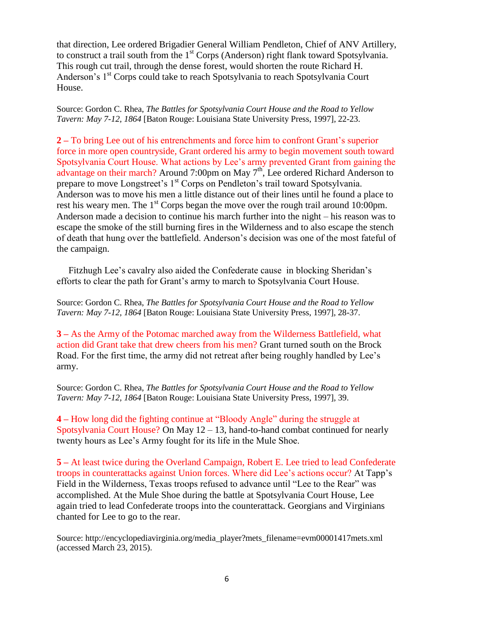that direction, Lee ordered Brigadier General William Pendleton, Chief of ANV Artillery, to construct a trail south from the  $1<sup>st</sup>$  Corps (Anderson) right flank toward Spotsylvania. This rough cut trail, through the dense forest, would shorten the route Richard H. Anderson's 1<sup>st</sup> Corps could take to reach Spotsylvania to reach Spotsylvania Court House.

Source: Gordon C. Rhea, *The Battles for Spotsylvania Court House and the Road to Yellow Tavern: May 7-12, 1864* [Baton Rouge: Louisiana State University Press, 1997], 22-23.

**2 –** To bring Lee out of his entrenchments and force him to confront Grant's superior force in more open countryside, Grant ordered his army to begin movement south toward Spotsylvania Court House. What actions by Lee's army prevented Grant from gaining the advantage on their march? Around 7:00pm on May 7<sup>th</sup>, Lee ordered Richard Anderson to prepare to move Longstreet's 1<sup>st</sup> Corps on Pendleton's trail toward Spotsylvania. Anderson was to move his men a little distance out of their lines until he found a place to rest his weary men. The  $1<sup>st</sup>$  Corps began the move over the rough trail around 10:00pm. Anderson made a decision to continue his march further into the night – his reason was to escape the smoke of the still burning fires in the Wilderness and to also escape the stench of death that hung over the battlefield. Anderson's decision was one of the most fateful of the campaign.

 Fitzhugh Lee's cavalry also aided the Confederate cause in blocking Sheridan's efforts to clear the path for Grant's army to march to Spotsylvania Court House.

Source: Gordon C. Rhea, *The Battles for Spotsylvania Court House and the Road to Yellow Tavern: May 7-12, 1864* [Baton Rouge: Louisiana State University Press, 1997], 28-37.

**3 –** As the Army of the Potomac marched away from the Wilderness Battlefield, what action did Grant take that drew cheers from his men? Grant turned south on the Brock Road. For the first time, the army did not retreat after being roughly handled by Lee's army.

Source: Gordon C. Rhea, *The Battles for Spotsylvania Court House and the Road to Yellow Tavern: May 7-12, 1864* [Baton Rouge: Louisiana State University Press, 1997], 39.

**4 –** How long did the fighting continue at "Bloody Angle" during the struggle at Spotsylvania Court House? On May  $12 - 13$ , hand-to-hand combat continued for nearly twenty hours as Lee's Army fought for its life in the Mule Shoe.

**5 –** At least twice during the Overland Campaign, Robert E. Lee tried to lead Confederate troops in counterattacks against Union forces. Where did Lee's actions occur? At Tapp's Field in the Wilderness, Texas troops refused to advance until "Lee to the Rear" was accomplished. At the Mule Shoe during the battle at Spotsylvania Court House, Lee again tried to lead Confederate troops into the counterattack. Georgians and Virginians chanted for Lee to go to the rear.

Source: http://encyclopediavirginia.org/media\_player?mets\_filename=evm00001417mets.xml (accessed March 23, 2015).